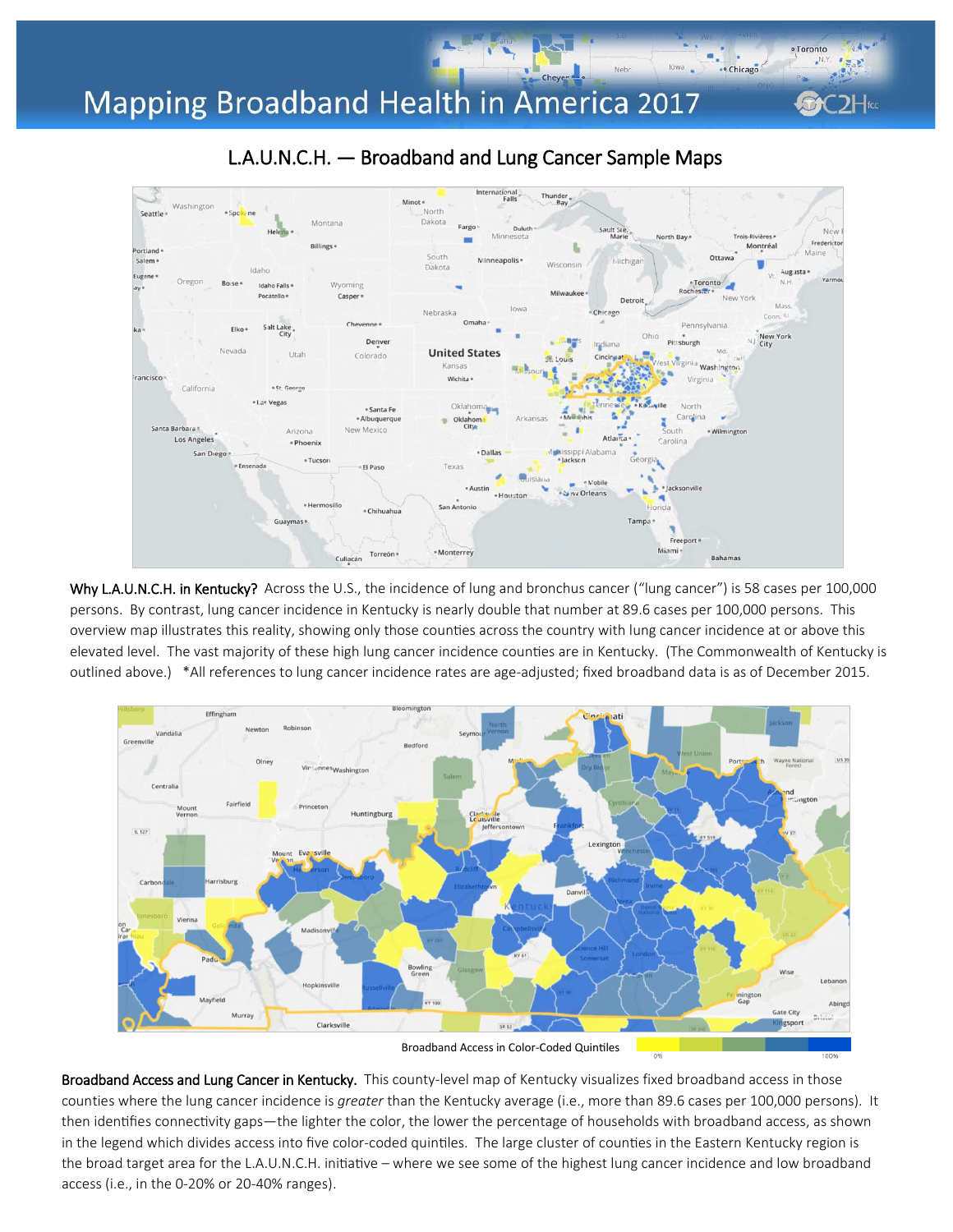## Mapping Broadband Health in America 2017



Why L.A.U.N.C.H. in Kentucky? Across the U.S., the incidence of lung and bronchus cancer ("lung cancer") is 58 cases per 100,000 persons. By contrast, lung cancer incidence in Kentucky is nearly double that number at 89.6 cases per 100,000 persons. This overview map illustrates this reality, showing only those counties across the country with lung cancer incidence at or above this elevated level. The vast majority of these high lung cancer incidence counties are in Kentucky. (The Commonwealth of Kentucky is outlined above.) \*All references to lung cancer incidence rates are age-adjusted; fixed broadband data is as of December 2015.



Broadband Access and Lung Cancer in Kentucky. This county-level map of Kentucky visualizes fixed broadband access in those counties where the lung cancer incidence is *greater* than the Kentucky average (i.e., more than 89.6 cases per 100,000 persons). It then identifies connectivity gaps—the lighter the color, the lower the percentage of households with broadband access, as shown in the legend which divides access into five color-coded quintiles. The large cluster of counties in the Eastern Kentucky region is the broad target area for the L.A.U.N.C.H. initiative – where we see some of the highest lung cancer incidence and low broadband access (i.e., in the 0-20% or 20-40% ranges).

## L.A.U.N.C.H. — Broadband and Lung Cancer Sample Maps

Cheyen

· Toronto

.e Chicago